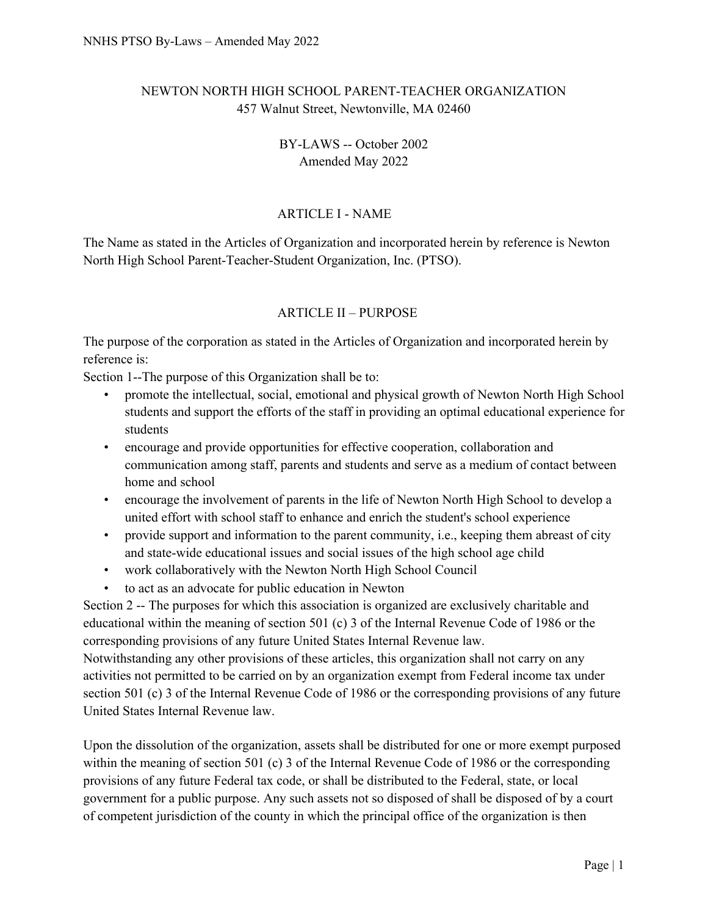# NEWTON NORTH HIGH SCHOOL PARENT-TEACHER ORGANIZATION 457 Walnut Street, Newtonville, MA 02460

## BY-LAWS -- October 2002 Amended May 2022

# ARTICLE I - NAME

The Name as stated in the Articles of Organization and incorporated herein by reference is Newton North High School Parent-Teacher-Student Organization, Inc. (PTSO).

## ARTICLE II – PURPOSE

The purpose of the corporation as stated in the Articles of Organization and incorporated herein by reference is:

Section 1--The purpose of this Organization shall be to:

- promote the intellectual, social, emotional and physical growth of Newton North High School students and support the efforts of the staff in providing an optimal educational experience for students
- encourage and provide opportunities for effective cooperation, collaboration and communication among staff, parents and students and serve as a medium of contact between home and school
- encourage the involvement of parents in the life of Newton North High School to develop a united effort with school staff to enhance and enrich the student's school experience
- provide support and information to the parent community, i.e., keeping them abreast of city and state-wide educational issues and social issues of the high school age child
- work collaboratively with the Newton North High School Council
- to act as an advocate for public education in Newton

Section 2 -- The purposes for which this association is organized are exclusively charitable and educational within the meaning of section 501 (c) 3 of the Internal Revenue Code of 1986 or the corresponding provisions of any future United States Internal Revenue law.

Notwithstanding any other provisions of these articles, this organization shall not carry on any activities not permitted to be carried on by an organization exempt from Federal income tax under section 501 (c) 3 of the Internal Revenue Code of 1986 or the corresponding provisions of any future United States Internal Revenue law.

Upon the dissolution of the organization, assets shall be distributed for one or more exempt purposed within the meaning of section 501 (c) 3 of the Internal Revenue Code of 1986 or the corresponding provisions of any future Federal tax code, or shall be distributed to the Federal, state, or local government for a public purpose. Any such assets not so disposed of shall be disposed of by a court of competent jurisdiction of the county in which the principal office of the organization is then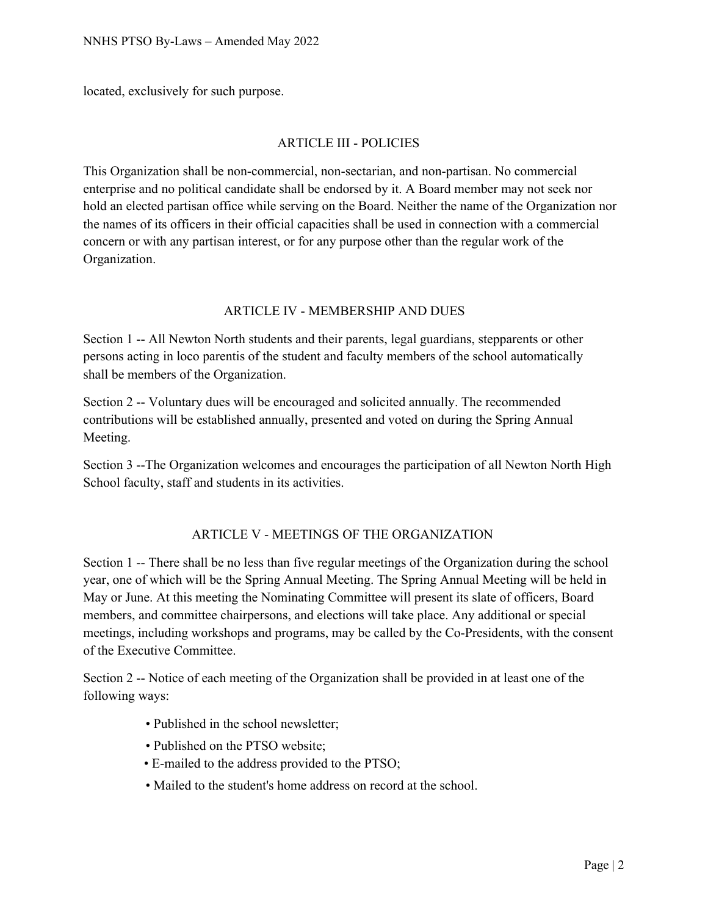located, exclusively for such purpose.

#### ARTICLE III - POLICIES

This Organization shall be non-commercial, non-sectarian, and non-partisan. No commercial enterprise and no political candidate shall be endorsed by it. A Board member may not seek nor hold an elected partisan office while serving on the Board. Neither the name of the Organization nor the names of its officers in their official capacities shall be used in connection with a commercial concern or with any partisan interest, or for any purpose other than the regular work of the Organization.

#### ARTICLE IV - MEMBERSHIP AND DUES

Section 1 -- All Newton North students and their parents, legal guardians, stepparents or other persons acting in loco parentis of the student and faculty members of the school automatically shall be members of the Organization.

Section 2 -- Voluntary dues will be encouraged and solicited annually. The recommended contributions will be established annually, presented and voted on during the Spring Annual Meeting.

Section 3 --The Organization welcomes and encourages the participation of all Newton North High School faculty, staff and students in its activities.

### ARTICLE V - MEETINGS OF THE ORGANIZATION

Section 1 -- There shall be no less than five regular meetings of the Organization during the school year, one of which will be the Spring Annual Meeting. The Spring Annual Meeting will be held in May or June. At this meeting the Nominating Committee will present its slate of officers, Board members, and committee chairpersons, and elections will take place. Any additional or special meetings, including workshops and programs, may be called by the Co-Presidents, with the consent of the Executive Committee.

Section 2 -- Notice of each meeting of the Organization shall be provided in at least one of the following ways:

- Published in the school newsletter;
- Published on the PTSO website;
- E-mailed to the address provided to the PTSO;
- Mailed to the student's home address on record at the school.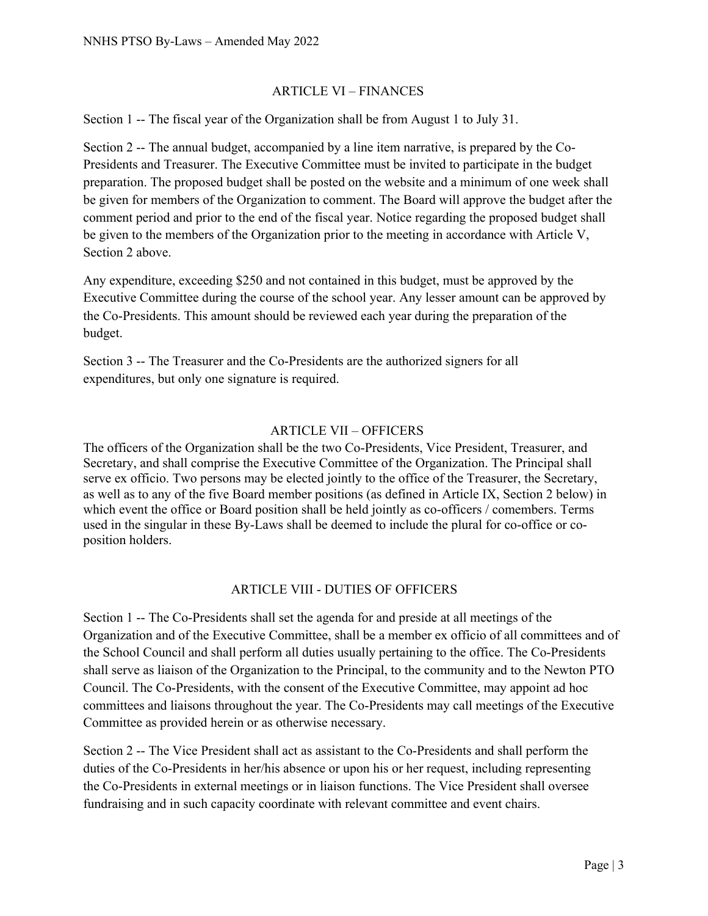#### ARTICLE VI – FINANCES

Section 1 -- The fiscal year of the Organization shall be from August 1 to July 31.

Section 2 -- The annual budget, accompanied by a line item narrative, is prepared by the Co-Presidents and Treasurer. The Executive Committee must be invited to participate in the budget preparation. The proposed budget shall be posted on the website and a minimum of one week shall be given for members of the Organization to comment. The Board will approve the budget after the comment period and prior to the end of the fiscal year. Notice regarding the proposed budget shall be given to the members of the Organization prior to the meeting in accordance with Article V, Section 2 above.

Any expenditure, exceeding \$250 and not contained in this budget, must be approved by the Executive Committee during the course of the school year. Any lesser amount can be approved by the Co-Presidents. This amount should be reviewed each year during the preparation of the budget.

Section 3 -- The Treasurer and the Co-Presidents are the authorized signers for all expenditures, but only one signature is required.

### ARTICLE VII – OFFICERS

The officers of the Organization shall be the two Co-Presidents, Vice President, Treasurer, and Secretary, and shall comprise the Executive Committee of the Organization. The Principal shall serve ex officio. Two persons may be elected jointly to the office of the Treasurer, the Secretary, as well as to any of the five Board member positions (as defined in Article IX, Section 2 below) in which event the office or Board position shall be held jointly as co-officers / comembers. Terms used in the singular in these By-Laws shall be deemed to include the plural for co-office or coposition holders.

#### ARTICLE VIII - DUTIES OF OFFICERS

Section 1 -- The Co-Presidents shall set the agenda for and preside at all meetings of the Organization and of the Executive Committee, shall be a member ex officio of all committees and of the School Council and shall perform all duties usually pertaining to the office. The Co-Presidents shall serve as liaison of the Organization to the Principal, to the community and to the Newton PTO Council. The Co-Presidents, with the consent of the Executive Committee, may appoint ad hoc committees and liaisons throughout the year. The Co-Presidents may call meetings of the Executive Committee as provided herein or as otherwise necessary.

Section 2 -- The Vice President shall act as assistant to the Co-Presidents and shall perform the duties of the Co-Presidents in her/his absence or upon his or her request, including representing the Co-Presidents in external meetings or in liaison functions. The Vice President shall oversee fundraising and in such capacity coordinate with relevant committee and event chairs.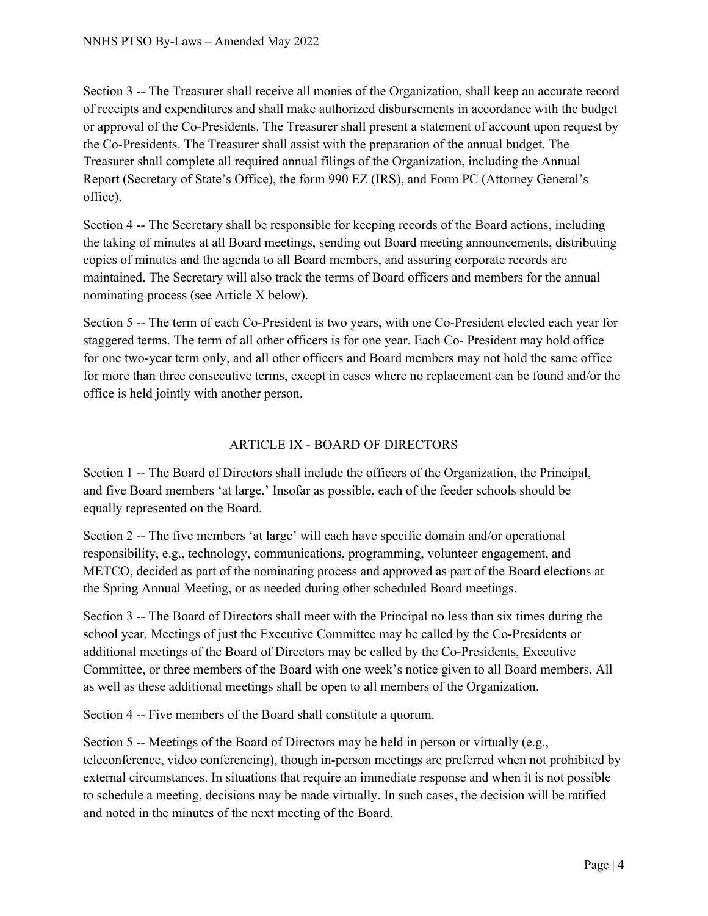Section 3 -- The Treasurer shall receive all monies of the Organization, shall keep an accurate record of receipts and expenditures and shall make authorized disbursements in accordance with the budget or approval of the Co-Presidents. The Treasurer shall present a statement of account upon request by the Co-Presidents. The Treasurer shall assist with the preparation of the annual budget. The Treasurer shall complete all required annual filings of the Organization, including the Annual Report (Secretary of State's Office), the form 990 EZ (IRS), and Form PC (Attorney General's office).

Section 4 -- The Secretary shall be responsible for keeping records of the Board actions, including the taking of minutes at all Board meetings, sending out Board meeting announcements, distributing copies of minutes and the agenda to all Board members, and assuring corporate records are maintained. The Secretary will also track the terms of Board officers and members for the annual nominating process (see Article X below).

Section 5 -- The term of each Co-President is two years, with one Co-President elected each year for staggered terms. The term of all other officers is for one year. Each Co- President may hold office for one two-year term only, and all other officers and Board members may not hold the same office for more than three consecutive terms, except in cases where no replacement can be found and/or the office is held jointly with another person.

## ARTICLE IX - BOARD OF DIRECTORS

Section 1 -- The Board of Directors shall include the officers of the Organization, the Principal, and five Board members 'at large.' Insofar as possible, each of the feeder schools should be equally represented on the Board.

Section 2 -- The five members 'at large' will each have specific domain and/or operational responsibility, e.g., technology, communications, programming, volunteer engagement, and METCO, decided as part of the nominating process and approved as part of the Board elections at the Spring Annual Meeting, or as needed during other scheduled Board meetings.

Section 3 -- The Board of Directors shall meet with the Principal no less than six times during the school year. Meetings of just the Executive Committee may be called by the Co-Presidents or additional meetings of the Board of Directors may be called by the Co-Presidents, Executive Committee, or three members of the Board with one week's notice given to all Board members. All as well as these additional meetings shall be open to all members of the Organization.

Section 4 -- Five members of the Board shall constitute a quorum.

Section 5 -- Meetings of the Board of Directors may be held in person or virtually (e.g., teleconference, video conferencing), though in-person meetings are preferred when not prohibited by external circumstances. In situations that require an immediate response and when it is not possible to schedule a meeting, decisions may be made virtually. In such cases, the decision will be ratified and noted in the minutes of the next meeting of the Board.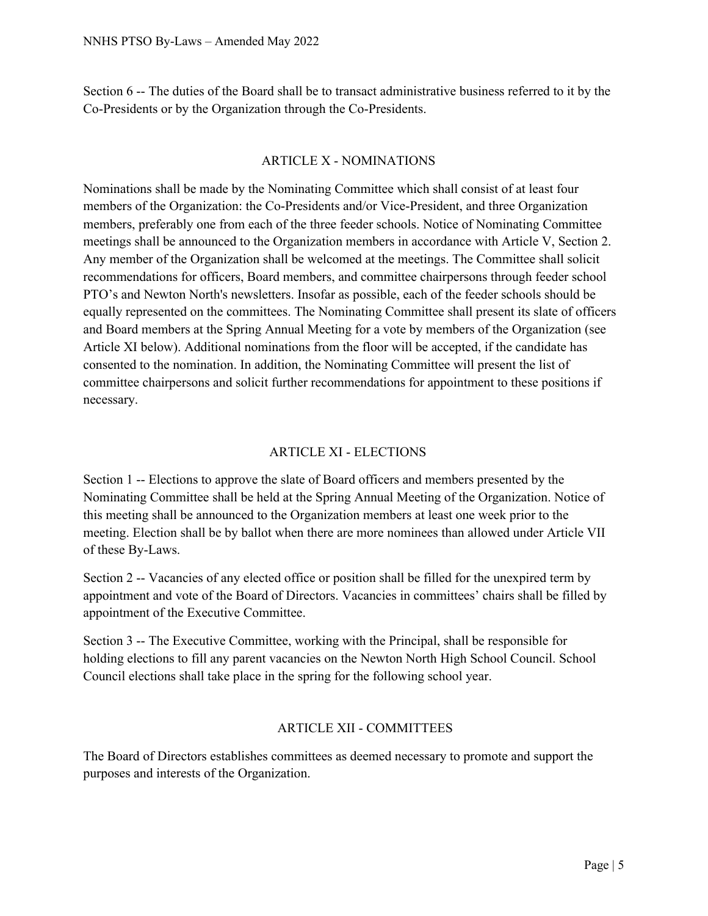Section 6 -- The duties of the Board shall be to transact administrative business referred to it by the Co-Presidents or by the Organization through the Co-Presidents.

### ARTICLE X - NOMINATIONS

Nominations shall be made by the Nominating Committee which shall consist of at least four members of the Organization: the Co-Presidents and/or Vice-President, and three Organization members, preferably one from each of the three feeder schools. Notice of Nominating Committee meetings shall be announced to the Organization members in accordance with Article V, Section 2. Any member of the Organization shall be welcomed at the meetings. The Committee shall solicit recommendations for officers, Board members, and committee chairpersons through feeder school PTO's and Newton North's newsletters. Insofar as possible, each of the feeder schools should be equally represented on the committees. The Nominating Committee shall present its slate of officers and Board members at the Spring Annual Meeting for a vote by members of the Organization (see Article XI below). Additional nominations from the floor will be accepted, if the candidate has consented to the nomination. In addition, the Nominating Committee will present the list of committee chairpersons and solicit further recommendations for appointment to these positions if necessary.

## ARTICLE XI - ELECTIONS

Section 1 -- Elections to approve the slate of Board officers and members presented by the Nominating Committee shall be held at the Spring Annual Meeting of the Organization. Notice of this meeting shall be announced to the Organization members at least one week prior to the meeting. Election shall be by ballot when there are more nominees than allowed under Article VII of these By-Laws.

Section 2 -- Vacancies of any elected office or position shall be filled for the unexpired term by appointment and vote of the Board of Directors. Vacancies in committees' chairs shall be filled by appointment of the Executive Committee.

Section 3 -- The Executive Committee, working with the Principal, shall be responsible for holding elections to fill any parent vacancies on the Newton North High School Council. School Council elections shall take place in the spring for the following school year.

## ARTICLE XII - COMMITTEES

The Board of Directors establishes committees as deemed necessary to promote and support the purposes and interests of the Organization.